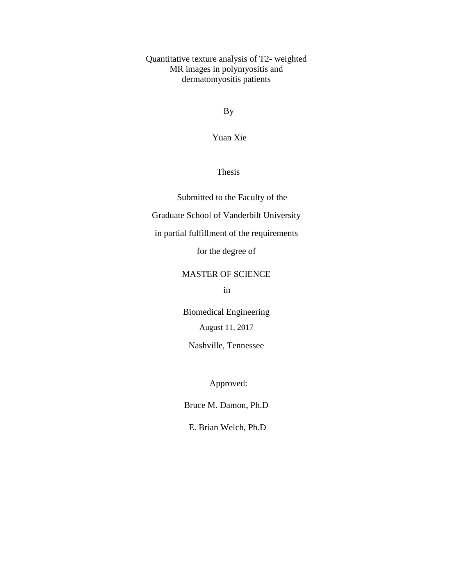Quantitative texture analysis of T2- weighted MR images in polymyositis and dermatomyositis patients

By

Yuan Xie

Thesis

Submitted to the Faculty of the Graduate School of Vanderbilt University in partial fulfillment of the requirements for the degree of

MASTER OF SCIENCE

<u>in the state of the state in the state of the state of the state of the state of the state of the state of the state of the state of the state of the state of the state of the state of the state of the state of the state </u>

Biomedical Engineering August 11, 2017

Nashville, Tennessee

Approved:

Bruce M. Damon, Ph.D

E. Brian Welch, Ph.D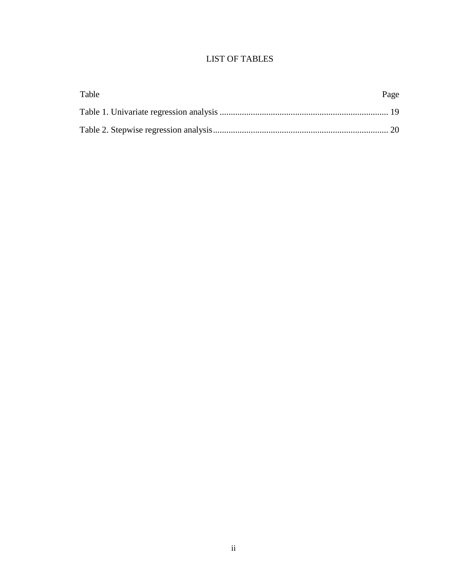# LIST OF TABLES

| Table | Page |
|-------|------|
|       |      |
|       |      |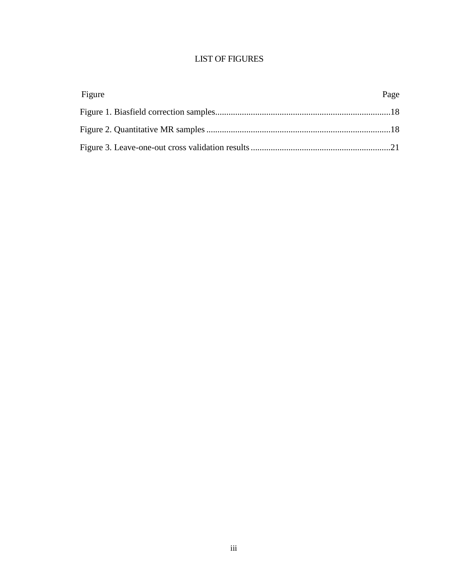# LIST OF FIGURES

| Figure | Page |
|--------|------|
|        |      |
|        |      |
|        |      |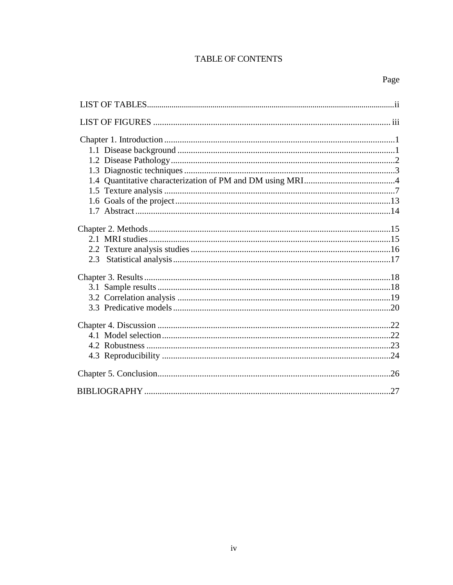# TABLE OF CONTENTS

| 27 |
|----|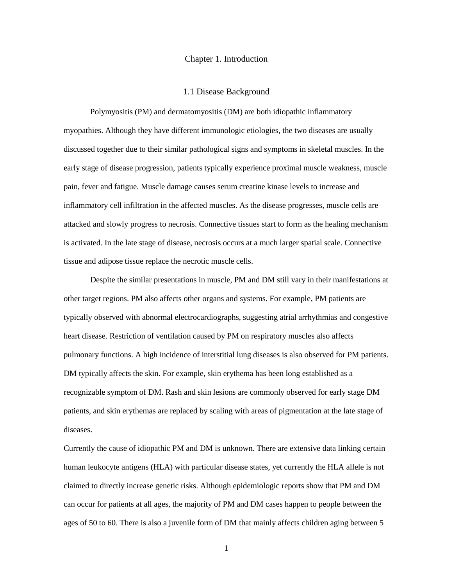#### Chapter 1. Introduction

#### 1.1 Disease Background

Polymyositis (PM) and dermatomyositis (DM) are both idiopathic inflammatory myopathies. Although they have different immunologic etiologies, the two diseases are usually discussed together due to their similar pathological signs and symptoms in skeletal muscles. In the early stage of disease progression, patients typically experience proximal muscle weakness, muscle pain, fever and fatigue. Muscle damage causes serum creatine kinase levels to increase and inflammatory cell infiltration in the affected muscles. As the disease progresses, muscle cells are attacked and slowly progress to necrosis. Connective tissues start to form as the healing mechanism is activated. In the late stage of disease, necrosis occurs at a much larger spatial scale. Connective tissue and adipose tissue replace the necrotic muscle cells.

Despite the similar presentations in muscle, PM and DM still vary in their manifestations at other target regions. PM also affects other organs and systems. For example, PM patients are typically observed with abnormal electrocardiographs, suggesting atrial arrhythmias and congestive heart disease. Restriction of ventilation caused by PM on respiratory muscles also affects pulmonary functions. A high incidence of interstitial lung diseases is also observed for PM patients. DM typically affects the skin. For example, skin erythema has been long established as a recognizable symptom of DM. Rash and skin lesions are commonly observed for early stage DM patients, and skin erythemas are replaced by scaling with areas of pigmentation at the late stage of diseases.

Currently the cause of idiopathic PM and DM is unknown. There are extensive data linking certain human leukocyte antigens (HLA) with particular disease states, yet currently the HLA allele is not claimed to directly increase genetic risks. Although epidemiologic reports show that PM and DM can occur for patients at all ages, the majority of PM and DM cases happen to people between the ages of 50 to 60. There is also a juvenile form of DM that mainly affects children aging between 5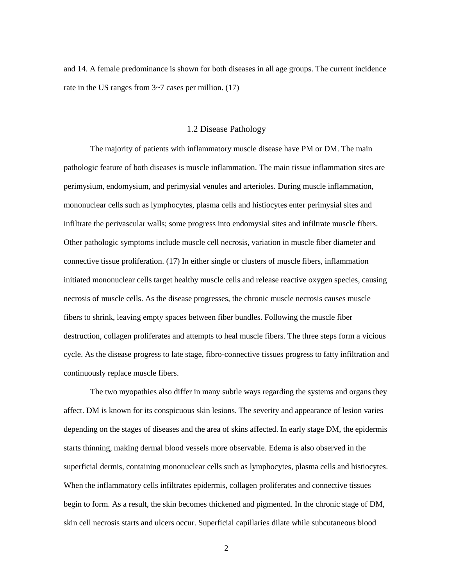and 14. A female predominance is shown for both diseases in all age groups. The current incidence rate in the US ranges from  $3\nu$ <sup>7</sup> cases per million. (17)

#### 1.2 Disease Pathology

The majority of patients with inflammatory muscle disease have PM or DM. The main pathologic feature of both diseases is muscle inflammation. The main tissue inflammation sites are perimysium, endomysium, and perimysial venules and arterioles. During muscle inflammation, mononuclear cells such as lymphocytes, plasma cells and histiocytes enter perimysial sites and infiltrate the perivascular walls; some progress into endomysial sites and infiltrate muscle fibers. Other pathologic symptoms include muscle cell necrosis, variation in muscle fiber diameter and connective tissue proliferation. (17) In either single or clusters of muscle fibers, inflammation initiated mononuclear cells target healthy muscle cells and release reactive oxygen species, causing necrosis of muscle cells. As the disease progresses, the chronic muscle necrosis causes muscle fibers to shrink, leaving empty spaces between fiber bundles. Following the muscle fiber destruction, collagen proliferates and attempts to heal muscle fibers. The three steps form a vicious cycle. As the disease progress to late stage, fibro-connective tissues progress to fatty infiltration and continuously replace muscle fibers.

The two myopathies also differ in many subtle ways regarding the systems and organs they affect. DM is known for its conspicuous skin lesions. The severity and appearance of lesion varies depending on the stages of diseases and the area of skins affected. In early stage DM, the epidermis starts thinning, making dermal blood vessels more observable. Edema is also observed in the superficial dermis, containing mononuclear cells such as lymphocytes, plasma cells and histiocytes. When the inflammatory cells infiltrates epidermis, collagen proliferates and connective tissues begin to form. As a result, the skin becomes thickened and pigmented. In the chronic stage of DM, skin cell necrosis starts and ulcers occur. Superficial capillaries dilate while subcutaneous blood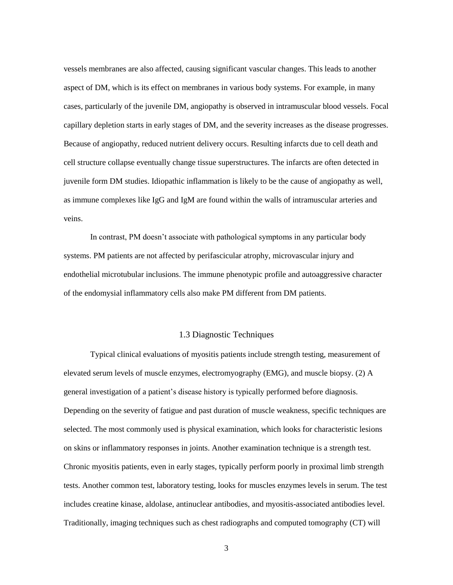vessels membranes are also affected, causing significant vascular changes. This leads to another aspect of DM, which is its effect on membranes in various body systems. For example, in many cases, particularly of the juvenile DM, angiopathy is observed in intramuscular blood vessels. Focal capillary depletion starts in early stages of DM, and the severity increases as the disease progresses. Because of angiopathy, reduced nutrient delivery occurs. Resulting infarcts due to cell death and cell structure collapse eventually change tissue superstructures. The infarcts are often detected in juvenile form DM studies. Idiopathic inflammation is likely to be the cause of angiopathy as well, as immune complexes like IgG and IgM are found within the walls of intramuscular arteries and veins.

In contrast, PM doesn't associate with pathological symptoms in any particular body systems. PM patients are not affected by perifascicular atrophy, microvascular injury and endothelial microtubular inclusions. The immune phenotypic profile and autoaggressive character of the endomysial inflammatory cells also make PM different from DM patients.

# 1.3 Diagnostic Techniques

Typical clinical evaluations of myositis patients include strength testing, measurement of elevated serum levels of muscle enzymes, electromyography (EMG), and muscle biopsy. (2) A general investigation of a patient's disease history is typically performed before diagnosis. Depending on the severity of fatigue and past duration of muscle weakness, specific techniques are selected. The most commonly used is physical examination, which looks for characteristic lesions on skins or inflammatory responses in joints. Another examination technique is a strength test. Chronic myositis patients, even in early stages, typically perform poorly in proximal limb strength tests. Another common test, laboratory testing, looks for muscles enzymes levels in serum. The test includes creatine kinase, aldolase, antinuclear antibodies, and myositis-associated antibodies level. Traditionally, imaging techniques such as chest radiographs and computed tomography (CT) will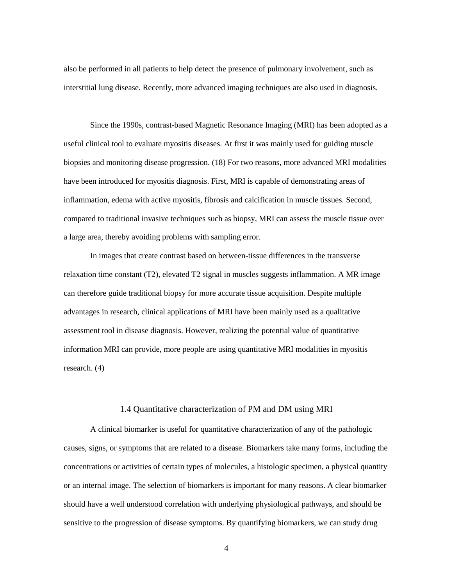also be performed in all patients to help detect the presence of pulmonary involvement, such as interstitial lung disease. Recently, more advanced imaging techniques are also used in diagnosis.

Since the 1990s, contrast-based Magnetic Resonance Imaging (MRI) has been adopted as a useful clinical tool to evaluate myositis diseases. At first it was mainly used for guiding muscle biopsies and monitoring disease progression. (18) For two reasons, more advanced MRI modalities have been introduced for myositis diagnosis. First, MRI is capable of demonstrating areas of inflammation, edema with active myositis, fibrosis and calcification in muscle tissues. Second, compared to traditional invasive techniques such as biopsy, MRI can assess the muscle tissue over a large area, thereby avoiding problems with sampling error.

In images that create contrast based on between-tissue differences in the transverse relaxation time constant (T2), elevated T2 signal in muscles suggests inflammation. A MR image can therefore guide traditional biopsy for more accurate tissue acquisition. Despite multiple advantages in research, clinical applications of MRI have been mainly used as a qualitative assessment tool in disease diagnosis. However, realizing the potential value of quantitative information MRI can provide, more people are using quantitative MRI modalities in myositis research. (4)

#### 1.4 Quantitative characterization of PM and DM using MRI

A clinical biomarker is useful for quantitative characterization of any of the pathologic causes, signs, or symptoms that are related to a disease. Biomarkers take many forms, including the concentrations or activities of certain types of molecules, a histologic specimen, a physical quantity or an internal image. The selection of biomarkers is important for many reasons. A clear biomarker should have a well understood correlation with underlying physiological pathways, and should be sensitive to the progression of disease symptoms. By quantifying biomarkers, we can study drug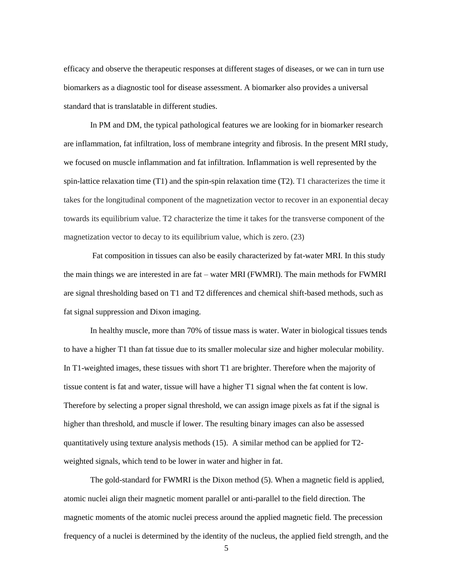efficacy and observe the therapeutic responses at different stages of diseases, or we can in turn use biomarkers as a diagnostic tool for disease assessment. A biomarker also provides a universal standard that is translatable in different studies.

In PM and DM, the typical pathological features we are looking for in biomarker research are inflammation, fat infiltration, loss of membrane integrity and fibrosis. In the present MRI study, we focused on muscle inflammation and fat infiltration. Inflammation is well represented by the spin-lattice relaxation time  $(T1)$  and the spin-spin relaxation time  $(T2)$ . T1 characterizes the time it takes for the longitudinal component of the magnetization vector to recover in an exponential decay towards its equilibrium value. T2 characterize the time it takes for the transverse component of the magnetization vector to decay to its equilibrium value, which is zero. (23)

Fat composition in tissues can also be easily characterized by fat-water MRI. In this study the main things we are interested in are fat – water MRI (FWMRI). The main methods for FWMRI are signal thresholding based on T1 and T2 differences and chemical shift-based methods, such as fat signal suppression and Dixon imaging.

In healthy muscle, more than 70% of tissue mass is water. Water in biological tissues tends to have a higher T1 than fat tissue due to its smaller molecular size and higher molecular mobility. In T1-weighted images, these tissues with short T1 are brighter. Therefore when the majority of tissue content is fat and water, tissue will have a higher T1 signal when the fat content is low. Therefore by selecting a proper signal threshold, we can assign image pixels as fat if the signal is higher than threshold, and muscle if lower. The resulting binary images can also be assessed quantitatively using texture analysis methods (15). A similar method can be applied for T2 weighted signals, which tend to be lower in water and higher in fat.

The gold-standard for FWMRI is the Dixon method (5). When a magnetic field is applied, atomic nuclei align their magnetic moment parallel or anti-parallel to the field direction. The magnetic moments of the atomic nuclei precess around the applied magnetic field. The precession frequency of a nuclei is determined by the identity of the nucleus, the applied field strength, and the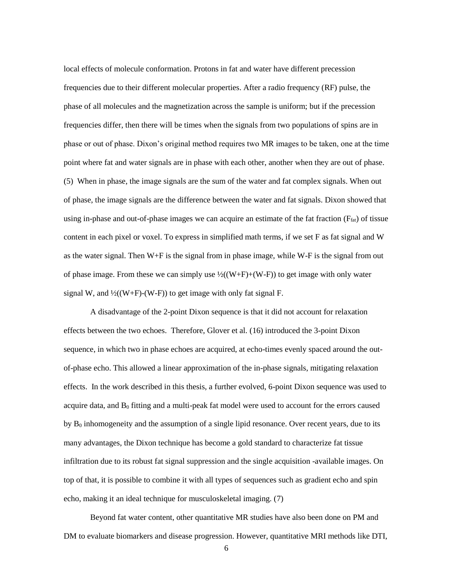local effects of molecule conformation. Protons in fat and water have different precession frequencies due to their different molecular properties. After a radio frequency (RF) pulse, the phase of all molecules and the magnetization across the sample is uniform; but if the precession frequencies differ, then there will be times when the signals from two populations of spins are in phase or out of phase. Dixon's original method requires two MR images to be taken, one at the time point where fat and water signals are in phase with each other, another when they are out of phase. (5) When in phase, the image signals are the sum of the water and fat complex signals. When out of phase, the image signals are the difference between the water and fat signals. Dixon showed that using in-phase and out-of-phase images we can acquire an estimate of the fat fraction  $(F_{\text{fat}})$  of tissue content in each pixel or voxel. To express in simplified math terms, if we set F as fat signal and W as the water signal. Then W+F is the signal from in phase image, while W-F is the signal from out of phase image. From these we can simply use  $\frac{1}{2}((W+F)+(W-F))$  to get image with only water signal W, and  $\frac{1}{2}((W+F)-(W-F))$  to get image with only fat signal F.

A disadvantage of the 2-point Dixon sequence is that it did not account for relaxation effects between the two echoes. Therefore, Glover et al. (16) introduced the 3-point Dixon sequence, in which two in phase echoes are acquired, at echo-times evenly spaced around the outof-phase echo. This allowed a linear approximation of the in-phase signals, mitigating relaxation effects. In the work described in this thesis, a further evolved, 6-point Dixon sequence was used to acquire data, and  $B_0$  fitting and a multi-peak fat model were used to account for the errors caused by  $B_0$  inhomogeneity and the assumption of a single lipid resonance. Over recent years, due to its many advantages, the Dixon technique has become a gold standard to characterize fat tissue infiltration due to its robust fat signal suppression and the single acquisition -available images. On top of that, it is possible to combine it with all types of sequences such as gradient echo and spin echo, making it an ideal technique for musculoskeletal imaging. (7)

Beyond fat water content, other quantitative MR studies have also been done on PM and DM to evaluate biomarkers and disease progression. However, quantitative MRI methods like DTI,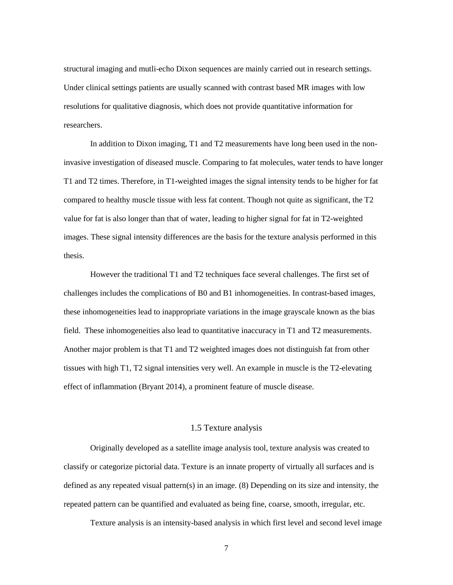structural imaging and mutli-echo Dixon sequences are mainly carried out in research settings. Under clinical settings patients are usually scanned with contrast based MR images with low resolutions for qualitative diagnosis, which does not provide quantitative information for researchers.

In addition to Dixon imaging, T1 and T2 measurements have long been used in the noninvasive investigation of diseased muscle. Comparing to fat molecules, water tends to have longer T1 and T2 times. Therefore, in T1-weighted images the signal intensity tends to be higher for fat compared to healthy muscle tissue with less fat content. Though not quite as significant, the T2 value for fat is also longer than that of water, leading to higher signal for fat in T2-weighted images. These signal intensity differences are the basis for the texture analysis performed in this thesis.

However the traditional T1 and T2 techniques face several challenges. The first set of challenges includes the complications of B0 and B1 inhomogeneities. In contrast-based images, these inhomogeneities lead to inappropriate variations in the image grayscale known as the bias field. These inhomogeneities also lead to quantitative inaccuracy in T1 and T2 measurements. Another major problem is that T1 and T2 weighted images does not distinguish fat from other tissues with high T1, T2 signal intensities very well. An example in muscle is the T2-elevating effect of inflammation (Bryant 2014), a prominent feature of muscle disease.

# 1.5 Texture analysis

Originally developed as a satellite image analysis tool, texture analysis was created to classify or categorize pictorial data. Texture is an innate property of virtually all surfaces and is defined as any repeated visual pattern(s) in an image. (8) Depending on its size and intensity, the repeated pattern can be quantified and evaluated as being fine, coarse, smooth, irregular, etc.

Texture analysis is an intensity-based analysis in which first level and second level image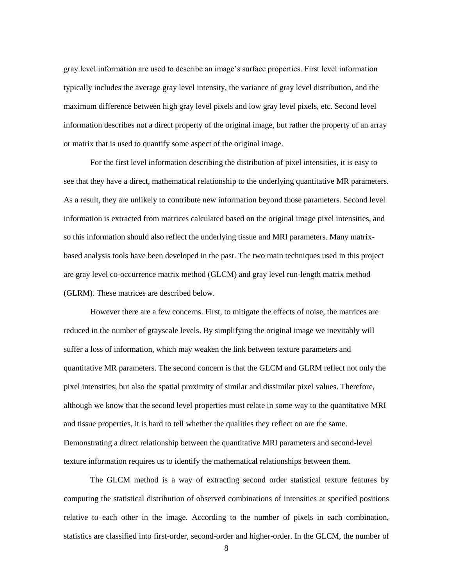gray level information are used to describe an image's surface properties. First level information typically includes the average gray level intensity, the variance of gray level distribution, and the maximum difference between high gray level pixels and low gray level pixels, etc. Second level information describes not a direct property of the original image, but rather the property of an array or matrix that is used to quantify some aspect of the original image.

For the first level information describing the distribution of pixel intensities, it is easy to see that they have a direct, mathematical relationship to the underlying quantitative MR parameters. As a result, they are unlikely to contribute new information beyond those parameters. Second level information is extracted from matrices calculated based on the original image pixel intensities, and so this information should also reflect the underlying tissue and MRI parameters. Many matrixbased analysis tools have been developed in the past. The two main techniques used in this project are gray level co-occurrence matrix method (GLCM) and gray level run-length matrix method (GLRM). These matrices are described below.

However there are a few concerns. First, to mitigate the effects of noise, the matrices are reduced in the number of grayscale levels. By simplifying the original image we inevitably will suffer a loss of information, which may weaken the link between texture parameters and quantitative MR parameters. The second concern is that the GLCM and GLRM reflect not only the pixel intensities, but also the spatial proximity of similar and dissimilar pixel values. Therefore, although we know that the second level properties must relate in some way to the quantitative MRI and tissue properties, it is hard to tell whether the qualities they reflect on are the same. Demonstrating a direct relationship between the quantitative MRI parameters and second-level texture information requires us to identify the mathematical relationships between them.

The GLCM method is a way of extracting second order statistical texture features by computing the statistical distribution of observed combinations of intensities at specified positions relative to each other in the image. According to the number of pixels in each combination, statistics are classified into first-order, second-order and higher-order. In the GLCM, the number of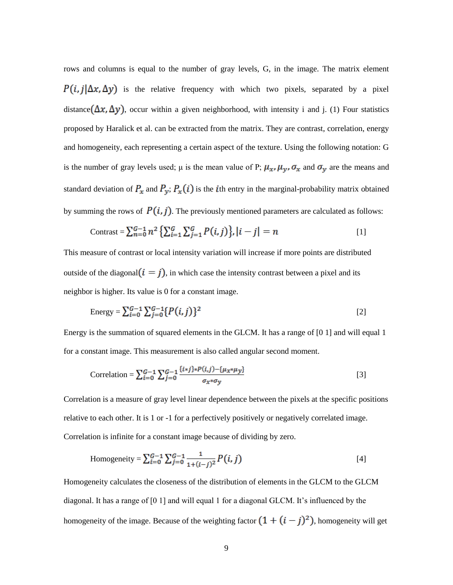rows and columns is equal to the number of gray levels, G, in the image. The matrix element  $P(i, j | \Delta x, \Delta y)$  is the relative frequency with which two pixels, separated by a pixel distance  $(\Delta x, \Delta y)$ , occur within a given neighborhood, with intensity i and j. (1) Four statistics proposed by Haralick et al. can be extracted from the matrix. They are contrast, correlation, energy and homogeneity, each representing a certain aspect of the texture. Using the following notation: G is the number of gray levels used;  $\mu$  is the mean value of P;  $\mu_x$ ,  $\mu_y$ ,  $\sigma_x$  and  $\sigma_y$  are the means and standard deviation of  $P_x$  and  $P_y$ ;  $P_x(i)$  is the *i*th entry in the marginal-probability matrix obtained by summing the rows of  $P(i, j)$ . The previously mentioned parameters are calculated as follows:

$$
\text{Contrast} = \sum_{n=0}^{G-1} n^2 \left\{ \sum_{i=1}^{G} \sum_{j=1}^{G} P(i,j) \right\}, |i-j| = n \tag{1}
$$

This measure of contrast or local intensity variation will increase if more points are distributed outside of the diagonal  $(i = j)$ , in which case the intensity contrast between a pixel and its neighbor is higher. Its value is 0 for a constant image.

Energy = 
$$
\sum_{i=0}^{G-1} \sum_{j=0}^{G-1} {P(i,j)}^2
$$
 [2]

Energy is the summation of squared elements in the GLCM. It has a range of [0 1] and will equal 1 for a constant image. This measurement is also called angular second moment.

Correlation = 
$$
\sum_{i=0}^{G-1} \sum_{j=0}^{G-1} \frac{\{i * j\} * P(i,j) - \{\mu_{x} * \mu_{y}\}}{\sigma_{x} * \sigma_{y}}
$$
 [3]

Correlation is a measure of gray level linear dependence between the pixels at the specific positions relative to each other. It is 1 or -1 for a perfectively positively or negatively correlated image. Correlation is infinite for a constant image because of dividing by zero.

Homogeneity = 
$$
\sum_{i=0}^{G-1} \sum_{j=0}^{G-1} \frac{1}{1+(i-j)^2} P(i, j)
$$
 [4]

Homogeneity calculates the closeness of the distribution of elements in the GLCM to the GLCM diagonal. It has a range of [0 1] and will equal 1 for a diagonal GLCM. It's influenced by the homogeneity of the image. Because of the weighting factor  $(1 + (i - j)^2)$ , homogeneity will get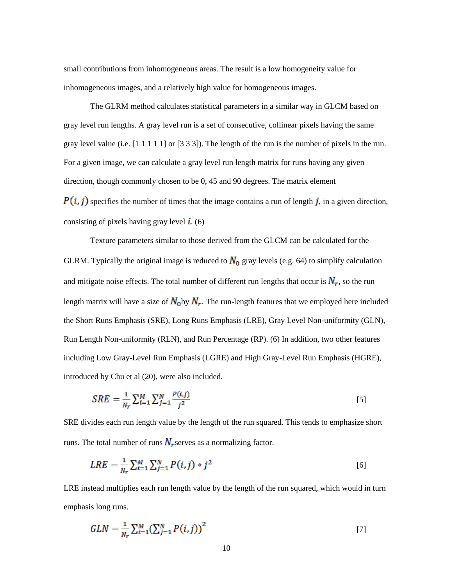small contributions from inhomogeneous areas. The result is a low homogeneity value for inhomogeneous images, and a relatively high value for homogeneous images.

The GLRM method calculates statistical parameters in a similar way in GLCM based on gray level run lengths. A gray level run is a set of consecutive, collinear pixels having the same gray level value (i.e.  $\lceil 1 \rceil 1 \rceil 1 \rceil$  or  $\lceil 3 \rceil 3 \rceil$ ). The length of the run is the number of pixels in the run. For a given image, we can calculate a gray level run length matrix for runs having any given direction, though commonly chosen to be 0, 45 and 90 degrees. The matrix element  $P(i, j)$  specifies the number of times that the image contains a run of length j, in a given direction, consisting of pixels having gray level  $\vec{i}$ . (6)

Texture parameters similar to those derived from the GLCM can be calculated for the GLRM. Typically the original image is reduced to  $N_0$  gray levels (e.g. 64) to simplify calculation and mitigate noise effects. The total number of different run lengths that occur is  $N_r$ , so the run length matrix will have a size of  $N_0$  by  $N_r$ . The run-length features that we employed here included the Short Runs Emphasis (SRE), Long Runs Emphasis (LRE), Gray Level Non-uniformity (GLN), Run Length Non-uniformity (RLN), and Run Percentage (RP). (6) In addition, two other features including Low Gray-Level Run Emphasis (LGRE) and High Gray-Level Run Emphasis (HGRE), introduced by Chu et al (20), were also included.

$$
SRE = \frac{1}{N_r} \sum_{i=1}^{M} \sum_{j=1}^{N} \frac{P(i,j)}{j^2}
$$
 [5]

SRE divides each run length value by the length of the run squared. This tends to emphasize short runs. The total number of runs  $N_r$  serves as a normalizing factor.

$$
LRE = \frac{1}{N_r} \sum_{i=1}^{M} \sum_{j=1}^{N} P(i,j) * j^2
$$
 [6]

LRE instead multiplies each run length value by the length of the run squared, which would in turn emphasis long runs.

$$
GLN = \frac{1}{N_r} \sum_{i=1}^{M} \left( \sum_{j=1}^{N} P(i,j) \right)^2
$$
 [7]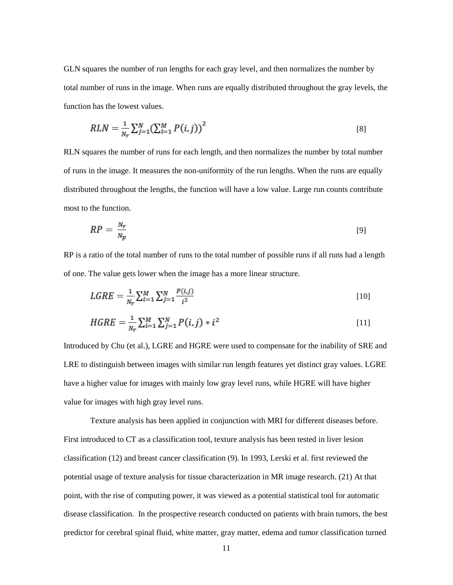GLN squares the number of run lengths for each gray level, and then normalizes the number by total number of runs in the image. When runs are equally distributed throughout the gray levels, the function has the lowest values.

$$
RLN = \frac{1}{N_r} \sum_{j=1}^{N} \left( \sum_{i=1}^{M} P(i,j) \right)^2
$$
 [8]

RLN squares the number of runs for each length, and then normalizes the number by total number of runs in the image. It measures the non-uniformity of the run lengths. When the runs are equally distributed throughout the lengths, the function will have a low value. Large run counts contribute most to the function.

$$
RP = \frac{N_r}{N_p} \tag{9}
$$

RP is a ratio of the total number of runs to the total number of possible runs if all runs had a length of one. The value gets lower when the image has a more linear structure.

$$
LGRE = \frac{1}{N_r} \sum_{i=1}^{M} \sum_{j=1}^{N} \frac{P(i,j)}{i^2}
$$
 [10]

$$
HGRE = \frac{1}{N_r} \sum_{i=1}^{M} \sum_{j=1}^{N} P(i,j) * i^2
$$
 [11]

Introduced by Chu (et al.), LGRE and HGRE were used to compensate for the inability of SRE and LRE to distinguish between images with similar run length features yet distinct gray values. LGRE have a higher value for images with mainly low gray level runs, while HGRE will have higher value for images with high gray level runs.

Texture analysis has been applied in conjunction with MRI for different diseases before. First introduced to CT as a classification tool, texture analysis has been tested in liver lesion classification (12) and breast cancer classification (9). In 1993, Lerski et al. first reviewed the potential usage of texture analysis for tissue characterization in MR image research. (21) At that point, with the rise of computing power, it was viewed as a potential statistical tool for automatic disease classification. In the prospective research conducted on patients with brain tumors, the best predictor for cerebral spinal fluid, white matter, gray matter, edema and tumor classification turned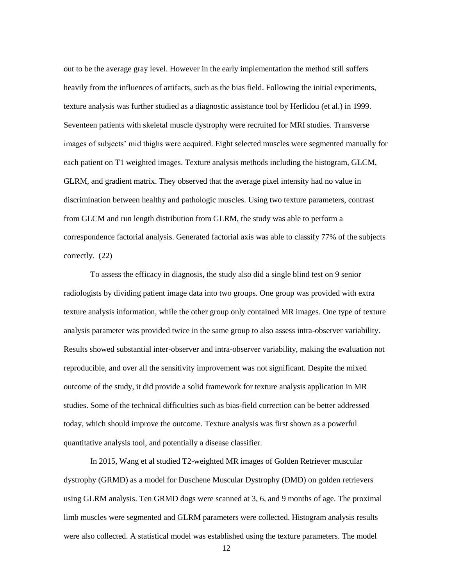out to be the average gray level. However in the early implementation the method still suffers heavily from the influences of artifacts, such as the bias field. Following the initial experiments, texture analysis was further studied as a diagnostic assistance tool by Herlidou (et al.) in 1999. Seventeen patients with skeletal muscle dystrophy were recruited for MRI studies. Transverse images of subjects' mid thighs were acquired. Eight selected muscles were segmented manually for each patient on T1 weighted images. Texture analysis methods including the histogram, GLCM, GLRM, and gradient matrix. They observed that the average pixel intensity had no value in discrimination between healthy and pathologic muscles. Using two texture parameters, contrast from GLCM and run length distribution from GLRM, the study was able to perform a correspondence factorial analysis. Generated factorial axis was able to classify 77% of the subjects correctly. (22)

To assess the efficacy in diagnosis, the study also did a single blind test on 9 senior radiologists by dividing patient image data into two groups. One group was provided with extra texture analysis information, while the other group only contained MR images. One type of texture analysis parameter was provided twice in the same group to also assess intra-observer variability. Results showed substantial inter-observer and intra-observer variability, making the evaluation not reproducible, and over all the sensitivity improvement was not significant. Despite the mixed outcome of the study, it did provide a solid framework for texture analysis application in MR studies. Some of the technical difficulties such as bias-field correction can be better addressed today, which should improve the outcome. Texture analysis was first shown as a powerful quantitative analysis tool, and potentially a disease classifier.

In 2015, Wang et al studied T2-weighted MR images of Golden Retriever muscular dystrophy (GRMD) as a model for Duschene Muscular Dystrophy (DMD) on golden retrievers using GLRM analysis. Ten GRMD dogs were scanned at 3, 6, and 9 months of age. The proximal limb muscles were segmented and GLRM parameters were collected. Histogram analysis results were also collected. A statistical model was established using the texture parameters. The model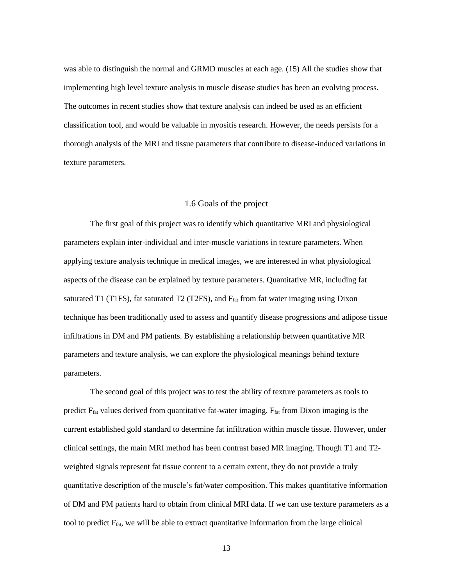was able to distinguish the normal and GRMD muscles at each age. (15) All the studies show that implementing high level texture analysis in muscle disease studies has been an evolving process. The outcomes in recent studies show that texture analysis can indeed be used as an efficient classification tool, and would be valuable in myositis research. However, the needs persists for a thorough analysis of the MRI and tissue parameters that contribute to disease-induced variations in texture parameters.

# 1.6 Goals of the project

The first goal of this project was to identify which quantitative MRI and physiological parameters explain inter-individual and inter-muscle variations in texture parameters. When applying texture analysis technique in medical images, we are interested in what physiological aspects of the disease can be explained by texture parameters. Quantitative MR, including fat saturated T1 (T1FS), fat saturated T2 (T2FS), and  $F_{\text{fat}}$  from fat water imaging using Dixon technique has been traditionally used to assess and quantify disease progressions and adipose tissue infiltrations in DM and PM patients. By establishing a relationship between quantitative MR parameters and texture analysis, we can explore the physiological meanings behind texture parameters.

The second goal of this project was to test the ability of texture parameters as tools to predict  $F_{\text{fat}}$  values derived from quantitative fat-water imaging.  $F_{\text{fat}}$  from Dixon imaging is the current established gold standard to determine fat infiltration within muscle tissue. However, under clinical settings, the main MRI method has been contrast based MR imaging. Though T1 and T2 weighted signals represent fat tissue content to a certain extent, they do not provide a truly quantitative description of the muscle's fat/water composition. This makes quantitative information of DM and PM patients hard to obtain from clinical MRI data. If we can use texture parameters as a tool to predict Ffat, we will be able to extract quantitative information from the large clinical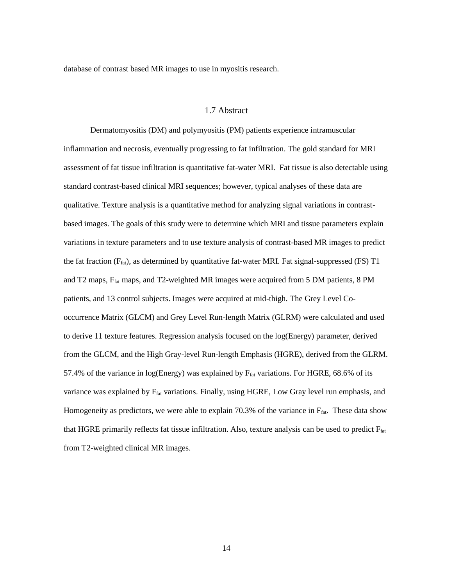database of contrast based MR images to use in myositis research.

## 1.7 Abstract

Dermatomyositis (DM) and polymyositis (PM) patients experience intramuscular inflammation and necrosis, eventually progressing to fat infiltration. The gold standard for MRI assessment of fat tissue infiltration is quantitative fat-water MRI. Fat tissue is also detectable using standard contrast-based clinical MRI sequences; however, typical analyses of these data are qualitative. Texture analysis is a quantitative method for analyzing signal variations in contrastbased images. The goals of this study were to determine which MRI and tissue parameters explain variations in texture parameters and to use texture analysis of contrast-based MR images to predict the fat fraction  $(F_{\text{fat}})$ , as determined by quantitative fat-water MRI. Fat signal-suppressed (FS) T1 and T2 maps, Ffat maps, and T2-weighted MR images were acquired from 5 DM patients, 8 PM patients, and 13 control subjects. Images were acquired at mid-thigh. The Grey Level Cooccurrence Matrix (GLCM) and Grey Level Run-length Matrix (GLRM) were calculated and used to derive 11 texture features. Regression analysis focused on the log(Energy) parameter, derived from the GLCM, and the High Gray-level Run-length Emphasis (HGRE), derived from the GLRM. 57.4% of the variance in log(Energy) was explained by  $F_{fat}$  variations. For HGRE, 68.6% of its variance was explained by F<sub>fat</sub> variations. Finally, using HGRE, Low Gray level run emphasis, and Homogeneity as predictors, we were able to explain 70.3% of the variance in  $F_{\text{fat}}$ . These data show that HGRE primarily reflects fat tissue infiltration. Also, texture analysis can be used to predict Ffat from T2-weighted clinical MR images.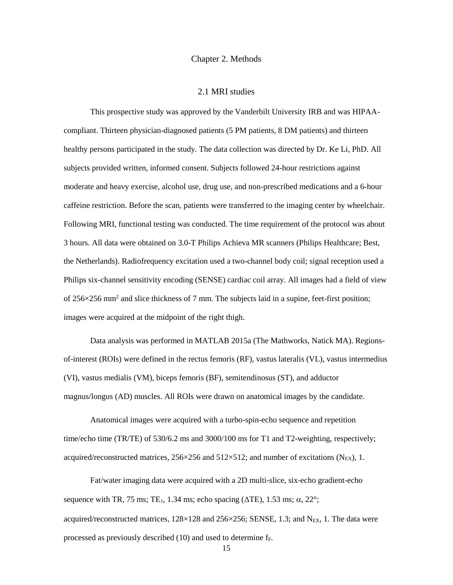#### Chapter 2. Methods

#### 2.1 MRI studies

This prospective study was approved by the Vanderbilt University IRB and was HIPAAcompliant. Thirteen physician-diagnosed patients (5 PM patients, 8 DM patients) and thirteen healthy persons participated in the study. The data collection was directed by Dr. Ke Li, PhD. All subjects provided written, informed consent. Subjects followed 24-hour restrictions against moderate and heavy exercise, alcohol use, drug use, and non-prescribed medications and a 6-hour caffeine restriction. Before the scan, patients were transferred to the imaging center by wheelchair. Following MRI, functional testing was conducted. The time requirement of the protocol was about 3 hours. All data were obtained on 3.0-T Philips Achieva MR scanners (Philips Healthcare; Best, the Netherlands). Radiofrequency excitation used a two-channel body coil; signal reception used a Philips six-channel sensitivity encoding (SENSE) cardiac coil array. All images had a field of view of 256×256 mm<sup>2</sup> and slice thickness of 7 mm. The subjects laid in a supine, feet-first position; images were acquired at the midpoint of the right thigh.

Data analysis was performed in MATLAB 2015a (The Mathworks, Natick MA). Regionsof-interest (ROIs) were defined in the rectus femoris (RF), vastus lateralis (VL), vastus intermedius (VI), vastus medialis (VM), biceps femoris (BF), semitendinosus (ST), and adductor magnus/longus (AD) muscles. All ROIs were drawn on anatomical images by the candidate.

Anatomical images were acquired with a turbo-spin-echo sequence and repetition time/echo time (TR/TE) of 530/6.2 ms and 3000/100 ms for T1 and T2-weighting, respectively; acquired/reconstructed matrices,  $256 \times 256$  and  $512 \times 512$ ; and number of excitations (N<sub>EX</sub>), 1.

Fat/water imaging data were acquired with a 2D multi-slice, six-echo gradient-echo sequence with TR, 75 ms; TE<sub>1</sub>, 1.34 ms; echo spacing ( $\Delta$ TE), 1.53 ms;  $\alpha$ , 22°; acquired/reconstructed matrices,  $128 \times 128$  and  $256 \times 256$ ; SENSE, 1.3; and N<sub>EX</sub>, 1. The data were processed as previously described  $(10)$  and used to determine  $f_F$ .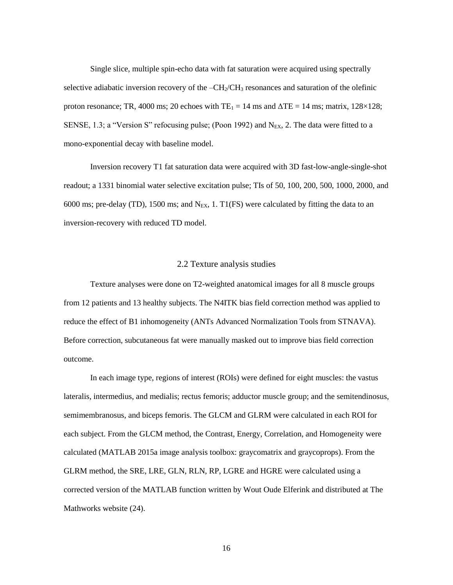Single slice, multiple spin-echo data with fat saturation were acquired using spectrally selective adiabatic inversion recovery of the  $-CH<sub>2</sub>/CH<sub>3</sub>$  resonances and saturation of the olefinic proton resonance; TR, 4000 ms; 20 echoes with  $TE_1 = 14$  ms and  $\Delta TE = 14$  ms; matrix, 128×128; SENSE, 1.3; a "Version S" refocusing pulse; (Poon 1992) and  $N_{EX}$ , 2. The data were fitted to a mono-exponential decay with baseline model.

Inversion recovery T1 fat saturation data were acquired with 3D fast-low-angle-single-shot readout; a 1331 binomial water selective excitation pulse; TIs of 50, 100, 200, 500, 1000, 2000, and 6000 ms; pre-delay (TD), 1500 ms; and N<sub>EX</sub>, 1. T1(FS) were calculated by fitting the data to an inversion-recovery with reduced TD model.

#### 2.2 Texture analysis studies

Texture analyses were done on T2-weighted anatomical images for all 8 muscle groups from 12 patients and 13 healthy subjects. The N4ITK bias field correction method was applied to reduce the effect of B1 inhomogeneity (ANTs Advanced Normalization Tools from STNAVA). Before correction, subcutaneous fat were manually masked out to improve bias field correction outcome.

In each image type, regions of interest (ROIs) were defined for eight muscles: the vastus lateralis, intermedius, and medialis; rectus femoris; adductor muscle group; and the semitendinosus, semimembranosus, and biceps femoris. The GLCM and GLRM were calculated in each ROI for each subject. From the GLCM method, the Contrast, Energy, Correlation, and Homogeneity were calculated (MATLAB 2015a image analysis toolbox: graycomatrix and graycoprops). From the GLRM method, the SRE, LRE, GLN, RLN, RP, LGRE and HGRE were calculated using a corrected version of the MATLAB function written by Wout Oude Elferink and distributed at The Mathworks website (24).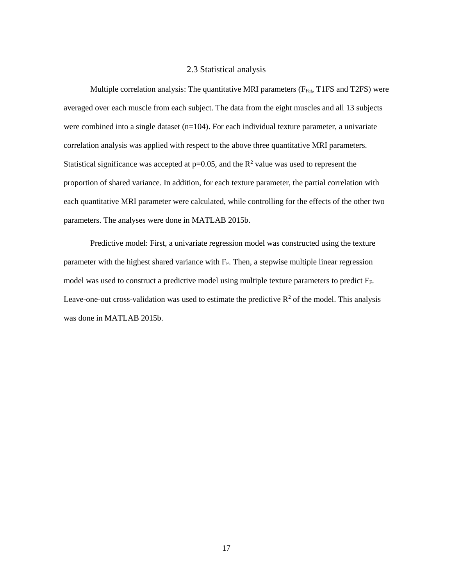### 2.3 Statistical analysis

Multiple correlation analysis: The quantitative MRI parameters ( $F_{Fat}$ , T1FS and T2FS) were averaged over each muscle from each subject. The data from the eight muscles and all 13 subjects were combined into a single dataset  $(n=104)$ . For each individual texture parameter, a univariate correlation analysis was applied with respect to the above three quantitative MRI parameters. Statistical significance was accepted at  $p=0.05$ , and the  $R^2$  value was used to represent the proportion of shared variance. In addition, for each texture parameter, the partial correlation with each quantitative MRI parameter were calculated, while controlling for the effects of the other two parameters. The analyses were done in MATLAB 2015b.

Predictive model: First, a univariate regression model was constructed using the texture parameter with the highest shared variance with  $F_F$ . Then, a stepwise multiple linear regression model was used to construct a predictive model using multiple texture parameters to predict FF. Leave-one-out cross-validation was used to estimate the predictive  $R^2$  of the model. This analysis was done in MATLAB 2015b.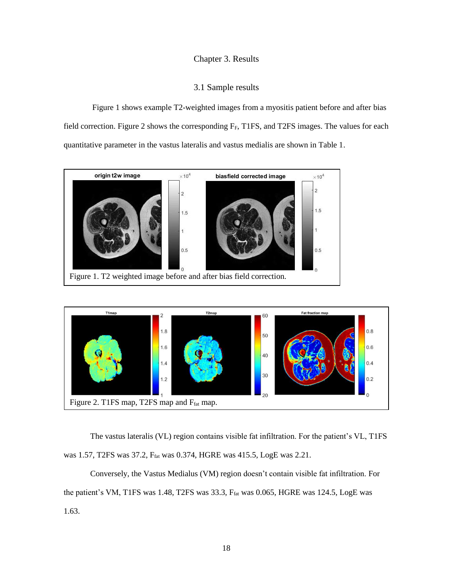# Chapter 3. Results

# 3.1 Sample results

Figure 1 shows example T2-weighted images from a myositis patient before and after bias field correction. Figure 2 shows the corresponding  $F_F$ , T1FS, and T2FS images. The values for each quantitative parameter in the vastus lateralis and vastus medialis are shown in Table 1.





The vastus lateralis (VL) region contains visible fat infiltration. For the patient's VL, T1FS was 1.57, T2FS was 37.2, Ffat was 0.374, HGRE was 415.5, LogE was 2.21.

Conversely, the Vastus Medialus (VM) region doesn't contain visible fat infiltration. For the patient's VM, T1FS was 1.48, T2FS was 33.3, Ffat was 0.065, HGRE was 124.5, LogE was 1.63.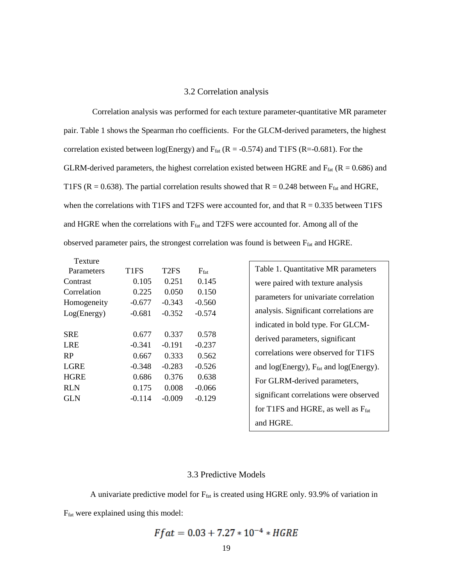#### 3.2 Correlation analysis

Correlation analysis was performed for each texture parameter-quantitative MR parameter pair. Table 1 shows the Spearman rho coefficients. For the GLCM-derived parameters, the highest correlation existed between log(Energy) and  $F_{\text{fat}}$  (R = -0.574) and T1FS (R=-0.681). For the GLRM-derived parameters, the highest correlation existed between HGRE and  $F_{\text{fat}}$  (R = 0.686) and T1FS ( $R = 0.638$ ). The partial correlation results showed that  $R = 0.248$  between  $F_{\text{fat}}$  and HGRE, when the correlations with T1FS and T2FS were accounted for, and that  $R = 0.335$  between T1FS and HGRE when the correlations with  $F_{fat}$  and T2FS were accounted for. Among all of the observed parameter pairs, the strongest correlation was found is between Ffat and HGRE.

| Texture     |                  |                               |                  |
|-------------|------------------|-------------------------------|------------------|
| Parameters  | T <sub>1FS</sub> | T <sub>2</sub> F <sub>S</sub> | $F_{\text{fat}}$ |
| Contrast    | 0.105            | 0.251                         | 0.145            |
| Correlation | 0.225            | 0.050                         | 0.150            |
| Homogeneity | $-0.677$         | $-0.343$                      | $-0.560$         |
| Log(Energy) | $-0.681$         | $-0.352$                      | $-0.574$         |
|             |                  |                               |                  |
| <b>SRE</b>  | 0.677            | 0.337                         | 0.578            |
| LRE         | $-0.341$         | $-0.191$                      | $-0.237$         |
| <b>RP</b>   | 0.667            | 0.333                         | 0.562            |
| <b>LGRE</b> | $-0.348$         | $-0.283$                      | $-0.526$         |
| <b>HGRE</b> | 0.686            | 0.376                         | 0.638            |
| <b>RLN</b>  | 0.175            | 0.008                         | $-0.066$         |
| GLN         | $-0.114$         | $-0.009$                      | $-0.129$         |
|             |                  |                               |                  |

Table 1. Quantitative MR parameters were paired with texture analysis parameters for univariate correlation analysis. Significant correlations are indicated in bold type. For GLCMderived parameters, significant correlations were observed for T1FS and  $log(Energy)$ ,  $F_{fat}$  and  $log(Energy)$ . For GLRM-derived parameters, significant correlations were observed for T1FS and HGRE, as well as  $F_{\text{fat}}$ and HGRE.

### 3.3 Predictive Models

A univariate predictive model for  $F_{\text{fat}}$  is created using HGRE only. 93.9% of variation in Ffat were explained using this model:

$$
Ffat = 0.03 + 7.27 * 10^{-4} * HGRE
$$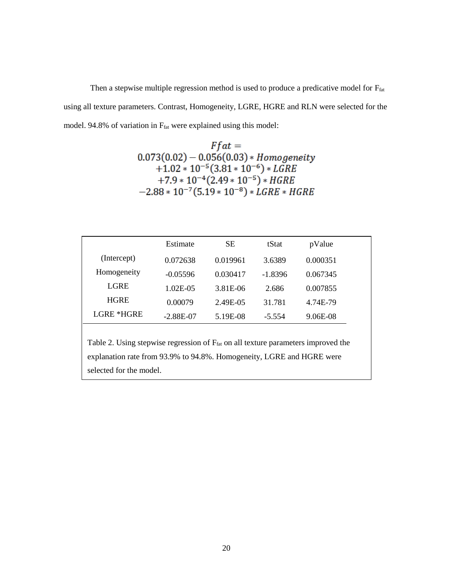Then a stepwise multiple regression method is used to produce a predicative model for  $F_{\text{fat}}$ using all texture parameters. Contrast, Homogeneity, LGRE, HGRE and RLN were selected for the model. 94.8% of variation in  $F_{\text{fat}}$  were explained using this model:

> $Ffat =$  $0.073(0.02) - 0.056(0.03) * Homogeneity$  $+1.02 * 10^{-5} (3.81 * 10^{-6}) * LGRE$  $+7.9 * 10^{-4} (2.49 * 10^{-5}) * HGRE$  $-2.88 * 10^{-7} (5.19 * 10^{-8}) * LGRE * HGRE$

|             | Estimate      | SЕ       | tStat     | pValue   |  |
|-------------|---------------|----------|-----------|----------|--|
| (Intercept) | 0.072638      | 0.019961 | 3.6389    | 0.000351 |  |
| Homogeneity | $-0.05596$    | 0.030417 | $-1.8396$ | 0.067345 |  |
| LGRE        | $1.02E - 0.5$ | 3.81E-06 | 2.686     | 0.007855 |  |
| <b>HGRE</b> | 0.00079       | 2.49E-05 | 31.781    | 4.74E-79 |  |
| LGRE *HGRE  | $-2.88E-07$   | 5.19E-08 | $-5.554$  | 9.06E-08 |  |

Table 2. Using stepwise regression of  $F<sub>fat</sub>$  on all texture parameters improved the explanation rate from 93.9% to 94.8%. Homogeneity, LGRE and HGRE were selected for the model.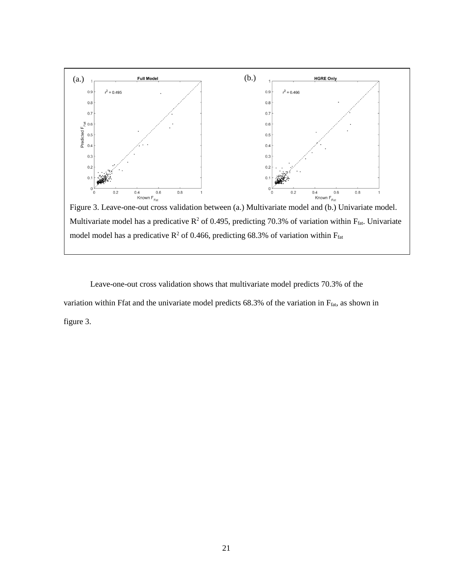

Multivariate model has a predicative  $R^2$  of 0.495, predicting 70.3% of variation within  $F_{\text{fat}}$ . Univariate model model has a predicative  $R^2$  of 0.466, predicting 68.3% of variation within  $F_{\text{fat}}$ 

Leave-one-out cross validation shows that multivariate model predicts 70.3% of the variation within Ffat and the univariate model predicts 68.3% of the variation in Ffat, as shown in figure 3.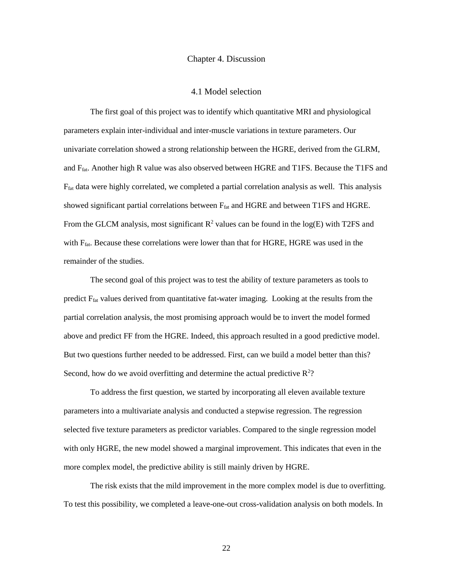#### Chapter 4. Discussion

#### 4.1 Model selection

The first goal of this project was to identify which quantitative MRI and physiological parameters explain inter-individual and inter-muscle variations in texture parameters. Our univariate correlation showed a strong relationship between the HGRE, derived from the GLRM, and Ffat. Another high R value was also observed between HGRE and T1FS. Because the T1FS and  $F_{\text{fat}}$  data were highly correlated, we completed a partial correlation analysis as well. This analysis showed significant partial correlations between  $F_{\text{fat}}$  and HGRE and between T1FS and HGRE. From the GLCM analysis, most significant  $\mathbb{R}^2$  values can be found in the log(E) with T2FS and with Ffat. Because these correlations were lower than that for HGRE, HGRE was used in the remainder of the studies.

The second goal of this project was to test the ability of texture parameters as tools to predict Ffat values derived from quantitative fat-water imaging. Looking at the results from the partial correlation analysis, the most promising approach would be to invert the model formed above and predict FF from the HGRE. Indeed, this approach resulted in a good predictive model. But two questions further needed to be addressed. First, can we build a model better than this? Second, how do we avoid overfitting and determine the actual predictive  $\mathbb{R}^2$ ?

To address the first question, we started by incorporating all eleven available texture parameters into a multivariate analysis and conducted a stepwise regression. The regression selected five texture parameters as predictor variables. Compared to the single regression model with only HGRE, the new model showed a marginal improvement. This indicates that even in the more complex model, the predictive ability is still mainly driven by HGRE.

The risk exists that the mild improvement in the more complex model is due to overfitting. To test this possibility, we completed a leave-one-out cross-validation analysis on both models. In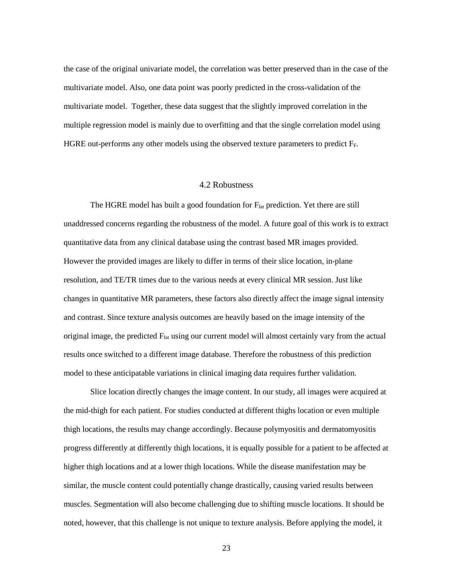the case of the original univariate model, the correlation was better preserved than in the case of the multivariate model. Also, one data point was poorly predicted in the cross-validation of the multivariate model. Together, these data suggest that the slightly improved correlation in the multiple regression model is mainly due to overfitting and that the single correlation model using HGRE out-performs any other models using the observed texture parameters to predict FF.

#### 4.2 Robustness

The HGRE model has built a good foundation for  $F_{\text{fat}}$  prediction. Yet there are still unaddressed concerns regarding the robustness of the model. A future goal of this work is to extract quantitative data from any clinical database using the contrast based MR images provided. However the provided images are likely to differ in terms of their slice location, in-plane resolution, and TE/TR times due to the various needs at every clinical MR session. Just like changes in quantitative MR parameters, these factors also directly affect the image signal intensity and contrast. Since texture analysis outcomes are heavily based on the image intensity of the original image, the predicted Ffat using our current model will almost certainly vary from the actual results once switched to a different image database. Therefore the robustness of this prediction model to these anticipatable variations in clinical imaging data requires further validation.

Slice location directly changes the image content. In our study, all images were acquired at the mid-thigh for each patient. For studies conducted at different thighs location or even multiple thigh locations, the results may change accordingly. Because polymyositis and dermatomyositis progress differently at differently thigh locations, it is equally possible for a patient to be affected at higher thigh locations and at a lower thigh locations. While the disease manifestation may be similar, the muscle content could potentially change drastically, causing varied results between muscles. Segmentation will also become challenging due to shifting muscle locations. It should be noted, however, that this challenge is not unique to texture analysis. Before applying the model, it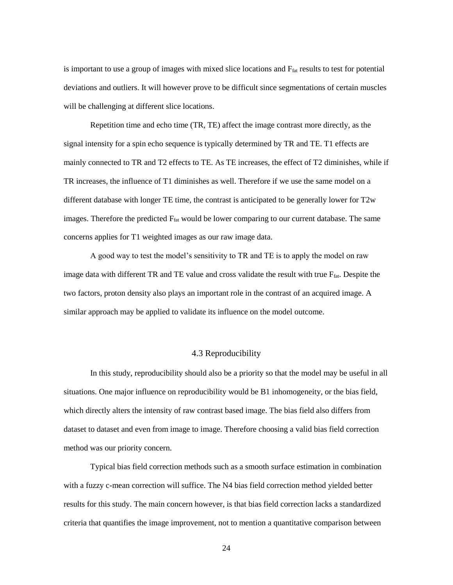is important to use a group of images with mixed slice locations and F<sub>fat</sub> results to test for potential deviations and outliers. It will however prove to be difficult since segmentations of certain muscles will be challenging at different slice locations.

Repetition time and echo time (TR, TE) affect the image contrast more directly, as the signal intensity for a spin echo sequence is typically determined by TR and TE. T1 effects are mainly connected to TR and T2 effects to TE. As TE increases, the effect of T2 diminishes, while if TR increases, the influence of T1 diminishes as well. Therefore if we use the same model on a different database with longer TE time, the contrast is anticipated to be generally lower for T2w images. Therefore the predicted Ffat would be lower comparing to our current database. The same concerns applies for T1 weighted images as our raw image data.

A good way to test the model's sensitivity to TR and TE is to apply the model on raw image data with different TR and TE value and cross validate the result with true F<sub>fat</sub>. Despite the two factors, proton density also plays an important role in the contrast of an acquired image. A similar approach may be applied to validate its influence on the model outcome.

# 4.3 Reproducibility

In this study, reproducibility should also be a priority so that the model may be useful in all situations. One major influence on reproducibility would be B1 inhomogeneity, or the bias field, which directly alters the intensity of raw contrast based image. The bias field also differs from dataset to dataset and even from image to image. Therefore choosing a valid bias field correction method was our priority concern.

Typical bias field correction methods such as a smooth surface estimation in combination with a fuzzy c-mean correction will suffice. The N4 bias field correction method yielded better results for this study. The main concern however, is that bias field correction lacks a standardized criteria that quantifies the image improvement, not to mention a quantitative comparison between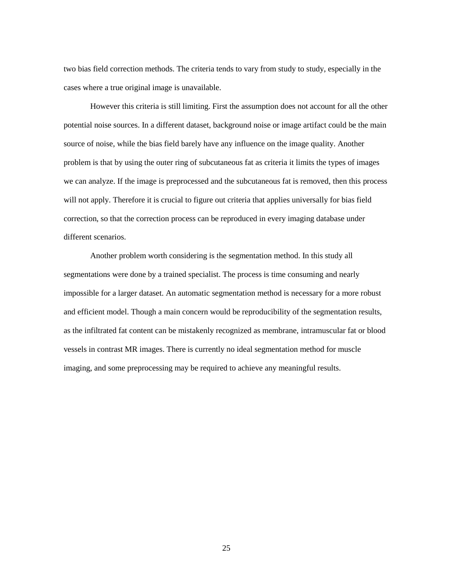two bias field correction methods. The criteria tends to vary from study to study, especially in the cases where a true original image is unavailable.

However this criteria is still limiting. First the assumption does not account for all the other potential noise sources. In a different dataset, background noise or image artifact could be the main source of noise, while the bias field barely have any influence on the image quality. Another problem is that by using the outer ring of subcutaneous fat as criteria it limits the types of images we can analyze. If the image is preprocessed and the subcutaneous fat is removed, then this process will not apply. Therefore it is crucial to figure out criteria that applies universally for bias field correction, so that the correction process can be reproduced in every imaging database under different scenarios.

Another problem worth considering is the segmentation method. In this study all segmentations were done by a trained specialist. The process is time consuming and nearly impossible for a larger dataset. An automatic segmentation method is necessary for a more robust and efficient model. Though a main concern would be reproducibility of the segmentation results, as the infiltrated fat content can be mistakenly recognized as membrane, intramuscular fat or blood vessels in contrast MR images. There is currently no ideal segmentation method for muscle imaging, and some preprocessing may be required to achieve any meaningful results.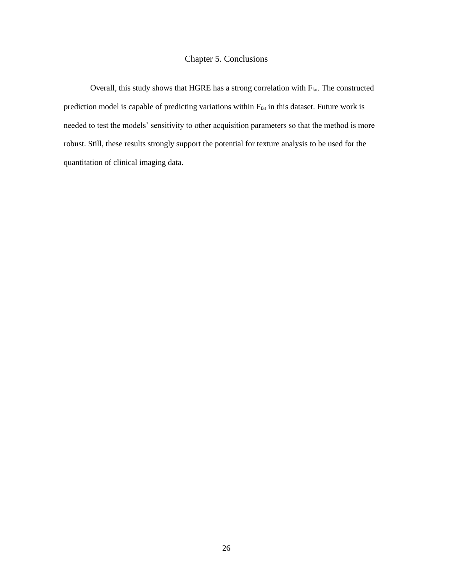# Chapter 5. Conclusions

Overall, this study shows that HGRE has a strong correlation with  $F_{\text{fat}}$ . The constructed prediction model is capable of predicting variations within Ffat in this dataset. Future work is needed to test the models' sensitivity to other acquisition parameters so that the method is more robust. Still, these results strongly support the potential for texture analysis to be used for the quantitation of clinical imaging data.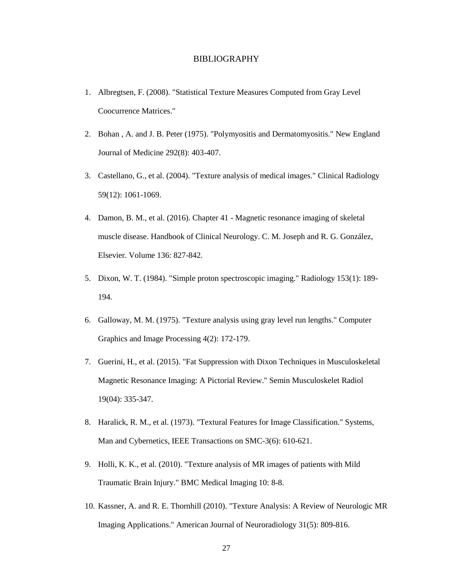# BIBLIOGRAPHY

- 1. Albregtsen, F. (2008). "Statistical Texture Measures Computed from Gray Level Coocurrence Matrices."
- 2. Bohan , A. and J. B. Peter (1975). "Polymyositis and Dermatomyositis." New England Journal of Medicine 292(8): 403-407.
- 3. Castellano, G., et al. (2004). "Texture analysis of medical images." Clinical Radiology 59(12): 1061-1069.
- 4. Damon, B. M., et al. (2016). Chapter 41 Magnetic resonance imaging of skeletal muscle disease. Handbook of Clinical Neurology. C. M. Joseph and R. G. González, Elsevier. Volume 136: 827-842.
- 5. Dixon, W. T. (1984). "Simple proton spectroscopic imaging." Radiology 153(1): 189- 194.
- 6. Galloway, M. M. (1975). "Texture analysis using gray level run lengths." Computer Graphics and Image Processing 4(2): 172-179.
- 7. Guerini, H., et al. (2015). "Fat Suppression with Dixon Techniques in Musculoskeletal Magnetic Resonance Imaging: A Pictorial Review." Semin Musculoskelet Radiol 19(04): 335-347.
- 8. Haralick, R. M., et al. (1973). "Textural Features for Image Classification." Systems, Man and Cybernetics, IEEE Transactions on SMC-3(6): 610-621.
- 9. Holli, K. K., et al. (2010). "Texture analysis of MR images of patients with Mild Traumatic Brain Injury." BMC Medical Imaging 10: 8-8.
- 10. Kassner, A. and R. E. Thornhill (2010). "Texture Analysis: A Review of Neurologic MR Imaging Applications." American Journal of Neuroradiology 31(5): 809-816.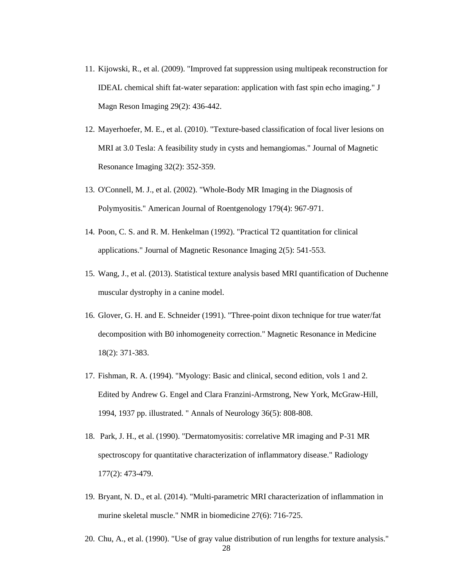- 11. Kijowski, R., et al. (2009). "Improved fat suppression using multipeak reconstruction for IDEAL chemical shift fat-water separation: application with fast spin echo imaging." J Magn Reson Imaging 29(2): 436-442.
- 12. Mayerhoefer, M. E., et al. (2010). "Texture-based classification of focal liver lesions on MRI at 3.0 Tesla: A feasibility study in cysts and hemangiomas." Journal of Magnetic Resonance Imaging 32(2): 352-359.
- 13. O'Connell, M. J., et al. (2002). "Whole-Body MR Imaging in the Diagnosis of Polymyositis." American Journal of Roentgenology 179(4): 967-971.
- 14. Poon, C. S. and R. M. Henkelman (1992). "Practical T2 quantitation for clinical applications." Journal of Magnetic Resonance Imaging 2(5): 541-553.
- 15. Wang, J., et al. (2013). Statistical texture analysis based MRI quantification of Duchenne muscular dystrophy in a canine model.
- 16. Glover, G. H. and E. Schneider (1991). "Three-point dixon technique for true water/fat decomposition with B0 inhomogeneity correction." Magnetic Resonance in Medicine 18(2): 371-383.
- 17. Fishman, R. A. (1994). "Myology: Basic and clinical, second edition, vols 1 and 2. Edited by Andrew G. Engel and Clara Franzini-Armstrong, New York, McGraw-Hill, 1994, 1937 pp. illustrated. " Annals of Neurology 36(5): 808-808.
- 18. Park, J. H., et al. (1990). "Dermatomyositis: correlative MR imaging and P-31 MR spectroscopy for quantitative characterization of inflammatory disease." Radiology 177(2): 473-479.
- 19. Bryant, N. D., et al. (2014). "Multi-parametric MRI characterization of inflammation in murine skeletal muscle." NMR in biomedicine 27(6): 716-725.
- 20. Chu, A., et al. (1990). "Use of gray value distribution of run lengths for texture analysis."